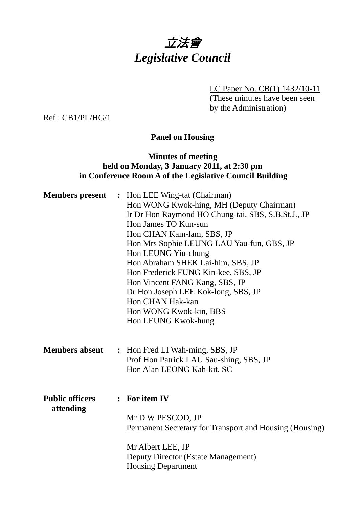# 立法會 *Legislative Council*

LC Paper No. CB(1) 1432/10-11

(These minutes have been seen by the Administration)

Ref : CB1/PL/HG/1

# **Panel on Housing**

# **Minutes of meeting held on Monday, 3 January 2011, at 2:30 pm in Conference Room A of the Legislative Council Building**

| : Hon LEE Wing-tat (Chairman)                           |  |  |
|---------------------------------------------------------|--|--|
|                                                         |  |  |
|                                                         |  |  |
|                                                         |  |  |
|                                                         |  |  |
|                                                         |  |  |
|                                                         |  |  |
|                                                         |  |  |
|                                                         |  |  |
|                                                         |  |  |
|                                                         |  |  |
|                                                         |  |  |
|                                                         |  |  |
|                                                         |  |  |
|                                                         |  |  |
|                                                         |  |  |
|                                                         |  |  |
|                                                         |  |  |
|                                                         |  |  |
|                                                         |  |  |
|                                                         |  |  |
|                                                         |  |  |
| Permanent Secretary for Transport and Housing (Housing) |  |  |
|                                                         |  |  |
|                                                         |  |  |
| Ir Dr Hon Raymond HO Chung-tai, SBS, S.B.St.J., JP      |  |  |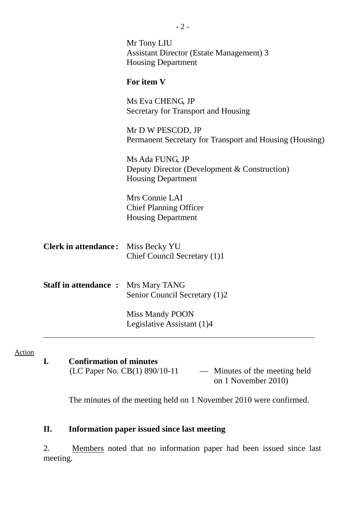|                                            | Mr Tony LIU<br><b>Assistant Director (Estate Management) 3</b><br><b>Housing Department</b>  |
|--------------------------------------------|----------------------------------------------------------------------------------------------|
|                                            | For item V                                                                                   |
|                                            | Ms Eva CHENG, JP<br>Secretary for Transport and Housing                                      |
|                                            | Mr D W PESCOD, JP<br>Permanent Secretary for Transport and Housing (Housing)                 |
|                                            | Ms Ada FUNG, JP<br>Deputy Director (Development & Construction)<br><b>Housing Department</b> |
|                                            | Mrs Connie LAI<br><b>Chief Planning Officer</b><br><b>Housing Department</b>                 |
| <b>Clerk in attendance:</b>                | Miss Becky YU<br>Chief Council Secretary (1)1                                                |
| <b>Staff in attendance : Mrs Mary TANG</b> | Senior Council Secretary (1)2                                                                |
|                                            | <b>Miss Mandy POON</b><br>Legislative Assistant (1)4                                         |

#### Action

**I. Confirmation of minutes**  (LC Paper No. CB(1) 890/10-11 — Minutes of the meeting held

on 1 November 2010)

The minutes of the meeting held on 1 November 2010 were confirmed.

# **II. Information paper issued since last meeting**

2. Members noted that no information paper had been issued since last meeting.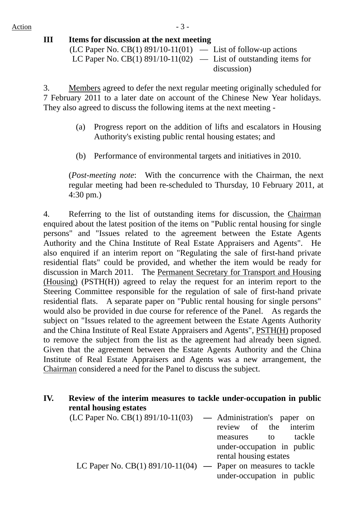## **III Items for discussion at the next meeting**   $(LC$  Paper No.  $CB(1)$  891/10-11(01) — List of follow-up actions LC Paper No.  $CB(1)$  891/10-11(02) — List of outstanding items for discussion)

3. Members agreed to defer the next regular meeting originally scheduled for 7 February 2011 to a later date on account of the Chinese New Year holidays. They also agreed to discuss the following items at the next meeting -

- (a) Progress report on the addition of lifts and escalators in Housing Authority's existing public rental housing estates; and
- (b) Performance of environmental targets and initiatives in 2010.

(*Post-meeting note*: With the concurrence with the Chairman, the next regular meeting had been re-scheduled to Thursday, 10 February 2011, at 4:30 pm.)

4. Referring to the list of outstanding items for discussion, the Chairman enquired about the latest position of the items on "Public rental housing for single persons" and "Issues related to the agreement between the Estate Agents Authority and the China Institute of Real Estate Appraisers and Agents". He also enquired if an interim report on "Regulating the sale of first-hand private residential flats" could be provided, and whether the item would be ready for discussion in March 2011. The Permanent Secretary for Transport and Housing (Housing) (PSTH(H)) agreed to relay the request for an interim report to the Steering Committee responsible for the regulation of sale of first-hand private residential flats. A separate paper on "Public rental housing for single persons" would also be provided in due course for reference of the Panel. As regards the subject on "Issues related to the agreement between the Estate Agents Authority and the China Institute of Real Estate Appraisers and Agents", PSTH(H) proposed to remove the subject from the list as the agreement had already been signed. Given that the agreement between the Estate Agents Authority and the China Institute of Real Estate Appraisers and Agents was a new arrangement, the Chairman considered a need for the Panel to discuss the subject.

# **IV. Review of the interim measures to tackle under-occupation in public rental housing estates**

| $(LC$ Paper No. $CB(1)$ 891/10-11(03) $\longrightarrow$ Administration's paper on |                            |        |
|-----------------------------------------------------------------------------------|----------------------------|--------|
|                                                                                   | review of the interim      |        |
|                                                                                   | measures to                | tackle |
|                                                                                   | under-occupation in public |        |
|                                                                                   | rental housing estates     |        |
| LC Paper No. $CB(1)$ 891/10-11(04) — Paper on measures to tackle                  |                            |        |
|                                                                                   | under-occupation in public |        |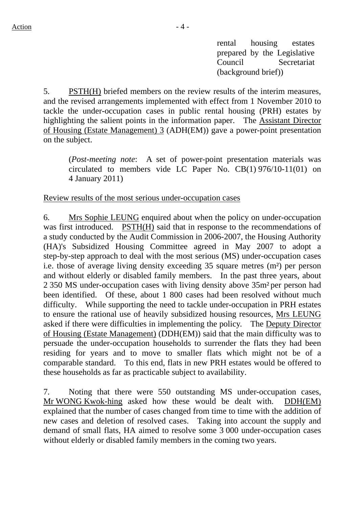rental housing estates prepared by the Legislative Council Secretariat (background brief))

5. PSTH(H) briefed members on the review results of the interim measures, and the revised arrangements implemented with effect from 1 November 2010 to tackle the under-occupation cases in public rental housing (PRH) estates by highlighting the salient points in the information paper. The Assistant Director of Housing (Estate Management) 3 (ADH(EM)) gave a power-point presentation on the subject.

(*Post-meeting note*: A set of power-point presentation materials was circulated to members vide LC Paper No. CB(1) 976/10-11(01) on 4 January 2011)

Review results of the most serious under-occupation cases

6. Mrs Sophie LEUNG enquired about when the policy on under-occupation was first introduced. PSTH(H) said that in response to the recommendations of a study conducted by the Audit Commission in 2006-2007, the Housing Authority (HA)'s Subsidized Housing Committee agreed in May 2007 to adopt a step-by-step approach to deal with the most serious (MS) under-occupation cases i.e. those of average living density exceeding 35 square metres (m²) per person and without elderly or disabled family members. In the past three years, about 2 350 MS under-occupation cases with living density above 35m² per person had been identified. Of these, about 1 800 cases had been resolved without much difficulty. While supporting the need to tackle under-occupation in PRH estates to ensure the rational use of heavily subsidized housing resources, Mrs LEUNG asked if there were difficulties in implementing the policy. The Deputy Director of Housing (Estate Management) (DDH(EM)) said that the main difficulty was to persuade the under-occupation households to surrender the flats they had been residing for years and to move to smaller flats which might not be of a comparable standard. To this end, flats in new PRH estates would be offered to these households as far as practicable subject to availability.

7. Noting that there were 550 outstanding MS under-occupation cases, Mr WONG Kwok-hing asked how these would be dealt with. DDH(EM) explained that the number of cases changed from time to time with the addition of new cases and deletion of resolved cases. Taking into account the supply and demand of small flats, HA aimed to resolve some 3 000 under-occupation cases without elderly or disabled family members in the coming two years.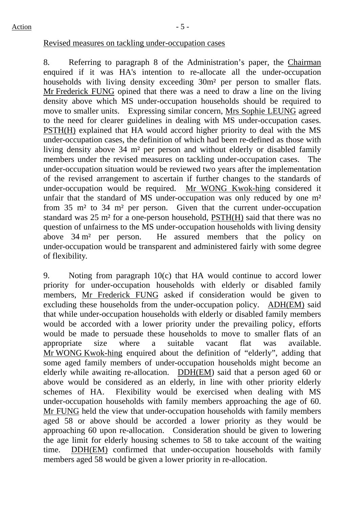#### Revised measures on tackling under-occupation cases

8. Referring to paragraph 8 of the Administration's paper, the Chairman enquired if it was HA's intention to re-allocate all the under-occupation households with living density exceeding 30m² per person to smaller flats. Mr Frederick FUNG opined that there was a need to draw a line on the living density above which MS under-occupation households should be required to move to smaller units. Expressing similar concern, Mrs Sophie LEUNG agreed to the need for clearer guidelines in dealing with MS under-occupation cases. PSTH(H) explained that HA would accord higher priority to deal with the MS under-occupation cases, the definition of which had been re-defined as those with living density above 34 m² per person and without elderly or disabled family members under the revised measures on tackling under-occupation cases. The under-occupation situation would be reviewed two years after the implementation of the revised arrangement to ascertain if further changes to the standards of under-occupation would be required. Mr WONG Kwok-hing considered it unfair that the standard of MS under-occupation was only reduced by one m<sup>2</sup> from 35 m² to 34 m² per person. Given that the current under-occupation standard was 25 m² for a one-person household, PSTH(H) said that there was no question of unfairness to the MS under-occupation households with living density above 34 m² per person. He assured members that the policy on under-occupation would be transparent and administered fairly with some degree of flexibility.

9. Noting from paragraph 10(c) that HA would continue to accord lower priority for under-occupation households with elderly or disabled family members, Mr Frederick FUNG asked if consideration would be given to excluding these households from the under-occupation policy. ADH(EM) said that while under-occupation households with elderly or disabled family members would be accorded with a lower priority under the prevailing policy, efforts would be made to persuade these households to move to smaller flats of an appropriate size where a suitable vacant flat was available. Mr WONG Kwok-hing enquired about the definition of "elderly", adding that some aged family members of under-occupation households might become an elderly while awaiting re-allocation. DDH(EM) said that a person aged 60 or above would be considered as an elderly, in line with other priority elderly schemes of HA. Flexibility would be exercised when dealing with MS under-occupation households with family members approaching the age of 60. Mr FUNG held the view that under-occupation households with family members aged 58 or above should be accorded a lower priority as they would be approaching 60 upon re-allocation. Consideration should be given to lowering the age limit for elderly housing schemes to 58 to take account of the waiting time. DDH(EM) confirmed that under-occupation households with family members aged 58 would be given a lower priority in re-allocation.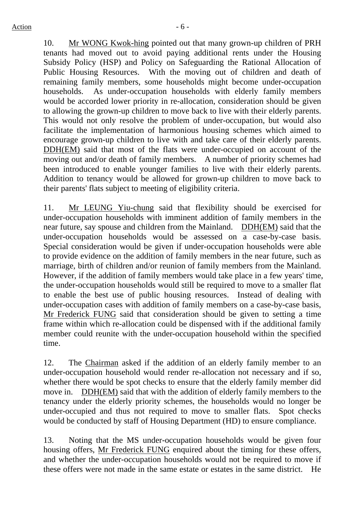10. Mr WONG Kwok-hing pointed out that many grown-up children of PRH tenants had moved out to avoid paying additional rents under the Housing Subsidy Policy (HSP) and Policy on Safeguarding the Rational Allocation of Public Housing Resources. With the moving out of children and death of remaining family members, some households might become under-occupation households. As under-occupation households with elderly family members would be accorded lower priority in re-allocation, consideration should be given to allowing the grown-up children to move back to live with their elderly parents. This would not only resolve the problem of under-occupation, but would also facilitate the implementation of harmonious housing schemes which aimed to encourage grown-up children to live with and take care of their elderly parents. DDH(EM) said that most of the flats were under-occupied on account of the moving out and/or death of family members. A number of priority schemes had been introduced to enable younger families to live with their elderly parents. Addition to tenancy would be allowed for grown-up children to move back to their parents' flats subject to meeting of eligibility criteria.

11. Mr LEUNG Yiu-chung said that flexibility should be exercised for under-occupation households with imminent addition of family members in the near future, say spouse and children from the Mainland. DDH(EM) said that the under-occupation households would be assessed on a case-by-case basis. Special consideration would be given if under-occupation households were able to provide evidence on the addition of family members in the near future, such as marriage, birth of children and/or reunion of family members from the Mainland. However, if the addition of family members would take place in a few years' time, the under-occupation households would still be required to move to a smaller flat to enable the best use of public housing resources. Instead of dealing with under-occupation cases with addition of family members on a case-by-case basis, Mr Frederick FUNG said that consideration should be given to setting a time frame within which re-allocation could be dispensed with if the additional family member could reunite with the under-occupation household within the specified time.

12. The Chairman asked if the addition of an elderly family member to an under-occupation household would render re-allocation not necessary and if so, whether there would be spot checks to ensure that the elderly family member did move in. DDH(EM) said that with the addition of elderly family members to the tenancy under the elderly priority schemes, the households would no longer be under-occupied and thus not required to move to smaller flats. Spot checks would be conducted by staff of Housing Department (HD) to ensure compliance.

13. Noting that the MS under-occupation households would be given four housing offers, Mr Frederick FUNG enquired about the timing for these offers, and whether the under-occupation households would not be required to move if these offers were not made in the same estate or estates in the same district. He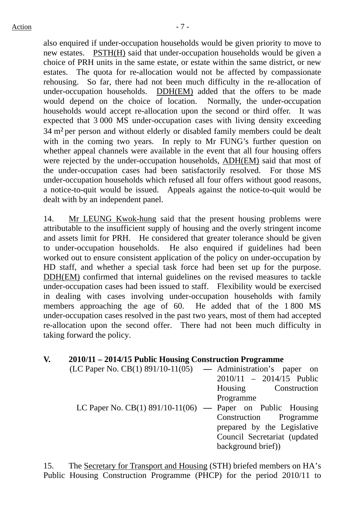also enquired if under-occupation households would be given priority to move to new estates. PSTH(H) said that under-occupation households would be given a choice of PRH units in the same estate, or estate within the same district, or new estates. The quota for re-allocation would not be affected by compassionate rehousing. So far, there had not been much difficulty in the re-allocation of under-occupation households. DDH(EM) added that the offers to be made would depend on the choice of location. Normally, the under-occupation households would accept re-allocation upon the second or third offer. It was expected that 3 000 MS under-occupation cases with living density exceeding 34 m² per person and without elderly or disabled family members could be dealt with in the coming two years. In reply to Mr FUNG's further question on whether appeal channels were available in the event that all four housing offers were rejected by the under-occupation households, ADH(EM) said that most of the under-occupation cases had been satisfactorily resolved. For those MS under-occupation households which refused all four offers without good reasons, a notice-to-quit would be issued. Appeals against the notice-to-quit would be dealt with by an independent panel.

14. Mr LEUNG Kwok-hung said that the present housing problems were attributable to the insufficient supply of housing and the overly stringent income and assets limit for PRH. He considered that greater tolerance should be given to under-occupation households. He also enquired if guidelines had been worked out to ensure consistent application of the policy on under-occupation by HD staff, and whether a special task force had been set up for the purpose. DDH(EM) confirmed that internal guidelines on the revised measures to tackle under-occupation cases had been issued to staff. Flexibility would be exercised in dealing with cases involving under-occupation households with family members approaching the age of 60. He added that of the 1 800 MS under-occupation cases resolved in the past two years, most of them had accepted re-allocation upon the second offer. There had not been much difficulty in taking forward the policy.

## **V. 2010/11 – 2014/15 Public Housing Construction Programme**

| $(LC$ Paper No. $CB(1)$ 891/10-11(05) — Administration's paper on |                              |
|-------------------------------------------------------------------|------------------------------|
|                                                                   | $2010/11 - 2014/15$ Public   |
|                                                                   | Housing Construction         |
|                                                                   | Programme                    |
| LC Paper No. $CB(1)$ 891/10-11(06) — Paper on Public Housing      |                              |
|                                                                   | Construction Programme       |
|                                                                   | prepared by the Legislative  |
|                                                                   | Council Secretariat (updated |
|                                                                   | background brief)            |

15. The Secretary for Transport and Housing (STH) briefed members on HA's Public Housing Construction Programme (PHCP) for the period 2010/11 to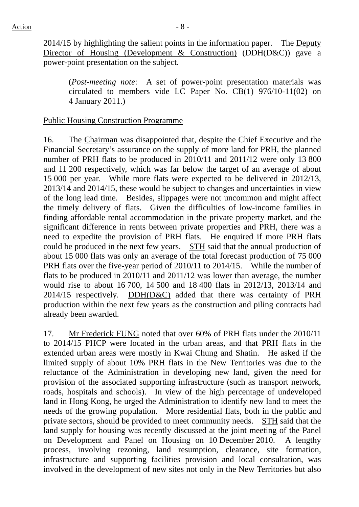2014/15 by highlighting the salient points in the information paper. The Deputy Director of Housing (Development & Construction) (DDH(D&C)) gave a power-point presentation on the subject.

(*Post-meeting note*: A set of power-point presentation materials was circulated to members vide LC Paper No. CB(1) 976/10-11(02) on 4 January 2011.)

### Public Housing Construction Programme

16. The Chairman was disappointed that, despite the Chief Executive and the Financial Secretary's assurance on the supply of more land for PRH, the planned number of PRH flats to be produced in 2010/11 and 2011/12 were only 13 800 and 11 200 respectively, which was far below the target of an average of about 15 000 per year. While more flats were expected to be delivered in 2012/13, 2013/14 and 2014/15, these would be subject to changes and uncertainties in view of the long lead time. Besides, slippages were not uncommon and might affect the timely delivery of flats. Given the difficulties of low-income families in finding affordable rental accommodation in the private property market, and the significant difference in rents between private properties and PRH, there was a need to expedite the provision of PRH flats. He enquired if more PRH flats could be produced in the next few years. STH said that the annual production of about 15 000 flats was only an average of the total forecast production of 75 000 PRH flats over the five-year period of 2010/11 to 2014/15. While the number of flats to be produced in 2010/11 and 2011/12 was lower than average, the number would rise to about 16 700, 14 500 and 18 400 flats in 2012/13, 2013/14 and 2014/15 respectively. DDH(D&C) added that there was certainty of PRH production within the next few years as the construction and piling contracts had already been awarded.

17. Mr Frederick FUNG noted that over 60% of PRH flats under the 2010/11 to 2014/15 PHCP were located in the urban areas, and that PRH flats in the extended urban areas were mostly in Kwai Chung and Shatin. He asked if the limited supply of about 10% PRH flats in the New Territories was due to the reluctance of the Administration in developing new land, given the need for provision of the associated supporting infrastructure (such as transport network, roads, hospitals and schools). In view of the high percentage of undeveloped land in Hong Kong, he urged the Administration to identify new land to meet the needs of the growing population. More residential flats, both in the public and private sectors, should be provided to meet community needs. STH said that the land supply for housing was recently discussed at the joint meeting of the Panel on Development and Panel on Housing on 10 December 2010. A lengthy process, involving rezoning, land resumption, clearance, site formation, infrastructure and supporting facilities provision and local consultation, was involved in the development of new sites not only in the New Territories but also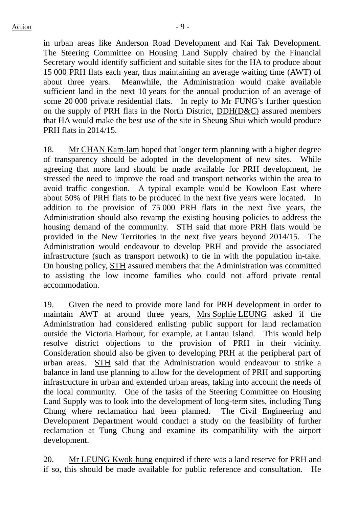in urban areas like Anderson Road Development and Kai Tak Development. The Steering Committee on Housing Land Supply chaired by the Financial Secretary would identify sufficient and suitable sites for the HA to produce about 15 000 PRH flats each year, thus maintaining an average waiting time (AWT) of about three years. Meanwhile, the Administration would make available sufficient land in the next 10 years for the annual production of an average of some 20 000 private residential flats. In reply to Mr FUNG's further question on the supply of PRH flats in the North District, DDH(D&C) assured members that HA would make the best use of the site in Sheung Shui which would produce PRH flats in 2014/15.

18. Mr CHAN Kam-lam hoped that longer term planning with a higher degree of transparency should be adopted in the development of new sites. While agreeing that more land should be made available for PRH development, he stressed the need to improve the road and transport networks within the area to avoid traffic congestion. A typical example would be Kowloon East where about 50% of PRH flats to be produced in the next five years were located. In addition to the provision of 75 000 PRH flats in the next five years, the Administration should also revamp the existing housing policies to address the housing demand of the community. STH said that more PRH flats would be provided in the New Territories in the next five years beyond 2014/15. The Administration would endeavour to develop PRH and provide the associated infrastructure (such as transport network) to tie in with the population in-take. On housing policy, STH assured members that the Administration was committed to assisting the low income families who could not afford private rental accommodation.

19. Given the need to provide more land for PRH development in order to maintain AWT at around three years, Mrs Sophie LEUNG asked if the Administration had considered enlisting public support for land reclamation outside the Victoria Harbour, for example, at Lantau Island. This would help resolve district objections to the provision of PRH in their vicinity. Consideration should also be given to developing PRH at the peripheral part of urban areas. STH said that the Administration would endeavour to strike a balance in land use planning to allow for the development of PRH and supporting infrastructure in urban and extended urban areas, taking into account the needs of the local community. One of the tasks of the Steering Committee on Housing Land Supply was to look into the development of long-term sites, including Tung Chung where reclamation had been planned. The Civil Engineering and Development Department would conduct a study on the feasibility of further reclamation at Tung Chung and examine its compatibility with the airport development.

20. Mr LEUNG Kwok-hung enquired if there was a land reserve for PRH and if so, this should be made available for public reference and consultation. He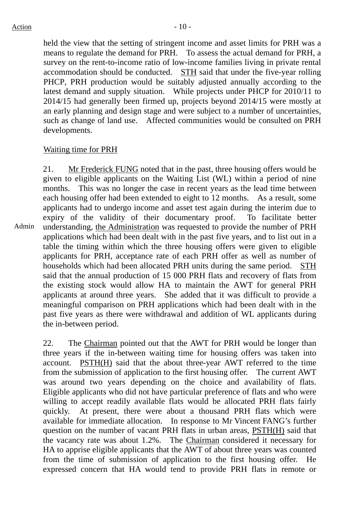held the view that the setting of stringent income and asset limits for PRH was a means to regulate the demand for PRH. To assess the actual demand for PRH, a survey on the rent-to-income ratio of low-income families living in private rental accommodation should be conducted. STH said that under the five-year rolling PHCP, PRH production would be suitably adjusted annually according to the latest demand and supply situation. While projects under PHCP for 2010/11 to 2014/15 had generally been firmed up, projects beyond 2014/15 were mostly at an early planning and design stage and were subject to a number of uncertainties, such as change of land use. Affected communities would be consulted on PRH developments.

# Waiting time for PRH

Admin 21. Mr Frederick FUNG noted that in the past, three housing offers would be given to eligible applicants on the Waiting List (WL) within a period of nine months. This was no longer the case in recent years as the lead time between each housing offer had been extended to eight to 12 months. As a result, some applicants had to undergo income and asset test again during the interim due to expiry of the validity of their documentary proof. To facilitate better understanding, the Administration was requested to provide the number of PRH applications which had been dealt with in the past five years, and to list out in a table the timing within which the three housing offers were given to eligible applicants for PRH, acceptance rate of each PRH offer as well as number of households which had been allocated PRH units during the same period. STH said that the annual production of 15 000 PRH flats and recovery of flats from the existing stock would allow HA to maintain the AWT for general PRH applicants at around three years. She added that it was difficult to provide a meaningful comparison on PRH applications which had been dealt with in the past five years as there were withdrawal and addition of WL applicants during the in-between period.

22. The Chairman pointed out that the AWT for PRH would be longer than three years if the in-between waiting time for housing offers was taken into account. PSTH(H) said that the about three-year AWT referred to the time from the submission of application to the first housing offer. The current AWT was around two years depending on the choice and availability of flats. Eligible applicants who did not have particular preference of flats and who were willing to accept readily available flats would be allocated PRH flats fairly quickly. At present, there were about a thousand PRH flats which were available for immediate allocation. In response to Mr Vincent FANG's further question on the number of vacant PRH flats in urban areas, PSTH(H) said that the vacancy rate was about 1.2%. The Chairman considered it necessary for HA to apprise eligible applicants that the AWT of about three years was counted from the time of submission of application to the first housing offer. He expressed concern that HA would tend to provide PRH flats in remote or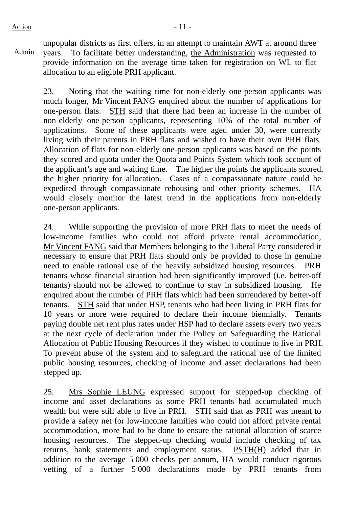Admin unpopular districts as first offers, in an attempt to maintain AWT at around three years. To facilitate better understanding, the Administration was requested to provide information on the average time taken for registration on WL to flat allocation to an eligible PRH applicant.

23. Noting that the waiting time for non-elderly one-person applicants was much longer, Mr Vincent FANG enquired about the number of applications for one-person flats. STH said that there had been an increase in the number of non-elderly one-person applicants, representing 10% of the total number of applications. Some of these applicants were aged under 30, were currently living with their parents in PRH flats and wished to have their own PRH flats. Allocation of flats for non-elderly one-person applicants was based on the points they scored and quota under the Quota and Points System which took account of the applicant's age and waiting time. The higher the points the applicants scored, the higher priority for allocation. Cases of a compassionate nature could be expedited through compassionate rehousing and other priority schemes. HA would closely monitor the latest trend in the applications from non-elderly one-person applicants.

24. While supporting the provision of more PRH flats to meet the needs of low-income families who could not afford private rental accommodation, Mr Vincent FANG said that Members belonging to the Liberal Party considered it necessary to ensure that PRH flats should only be provided to those in genuine need to enable rational use of the heavily subsidized housing resources. PRH tenants whose financial situation had been significantly improved (i.e. better-off tenants) should not be allowed to continue to stay in subsidized housing. He enquired about the number of PRH flats which had been surrendered by better-off tenants. STH said that under HSP, tenants who had been living in PRH flats for 10 years or more were required to declare their income biennially. Tenants paying double net rent plus rates under HSP had to declare assets every two years at the next cycle of declaration under the Policy on Safeguarding the Rational Allocation of Public Housing Resources if they wished to continue to live in PRH. To prevent abuse of the system and to safeguard the rational use of the limited public housing resources, checking of income and asset declarations had been stepped up.

25. Mrs Sophie LEUNG expressed support for stepped-up checking of income and asset declarations as some PRH tenants had accumulated much wealth but were still able to live in PRH. STH said that as PRH was meant to provide a safety net for low-income families who could not afford private rental accommodation, more had to be done to ensure the rational allocation of scarce housing resources. The stepped-up checking would include checking of tax returns, bank statements and employment status. PSTH(H) added that in addition to the average 5 000 checks per annum, HA would conduct rigorous vetting of a further 5 000 declarations made by PRH tenants from